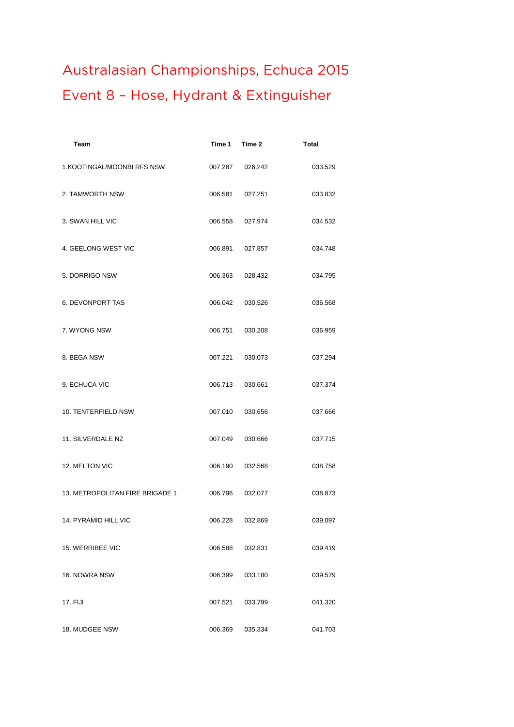## **Australasian Championships, Echuca 2015 Event 8 – Hose, Hydrant & Extinguisher**

| Team                            | Time 1  | Time 2  | <b>Total</b> |
|---------------------------------|---------|---------|--------------|
| 1.KOOTINGAL/MOONBI RFS NSW      | 007.287 | 026.242 | 033.529      |
| 2. TAMWORTH NSW                 | 006.581 | 027.251 | 033.832      |
| 3. SWAN HILL VIC                | 006.558 | 027.974 | 034.532      |
| 4. GEELONG WEST VIC             | 006.891 | 027.857 | 034.748      |
| 5. DORRIGO NSW                  | 006.363 | 028.432 | 034.795      |
| <b>6. DEVONPORT TAS</b>         | 006.042 | 030.526 | 036.568      |
| 7. WYONG NSW                    | 006.751 | 030.208 | 036.959      |
| 8. BEGA NSW                     | 007.221 | 030.073 | 037.294      |
| 9. ECHUCA VIC                   | 006.713 | 030.661 | 037.374      |
| 10. TENTERFIELD NSW             | 007.010 | 030.656 | 037.666      |
| 11. SILVERDALE NZ               | 007.049 | 030.666 | 037.715      |
| 12. MELTON VIC                  | 006.190 | 032.568 | 038.758      |
| 13. METROPOLITAN FIRE BRIGADE 1 | 006.796 | 032.077 | 038.873      |
| 14. PYRAMID HILL VIC            | 006.228 | 032.869 | 039.097      |
| <b>15. WERRIBEE VIC</b>         | 006.588 | 032.831 | 039.419      |
| 16. NOWRA NSW                   | 006.399 | 033.180 | 039.579      |
| 17. FIJI                        | 007.521 | 033.799 | 041.320      |
| 18. MUDGEE NSW                  | 006.369 | 035.334 | 041.703      |